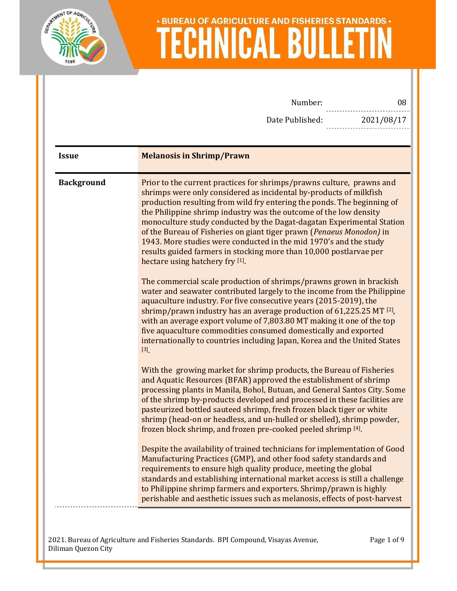

| 08         | Number:                                                                                                                                                                                                                                                                                                                                                                                                                                                                                                                                                                                                                                                                                                                                                                                                                                                                                                                                                                                                                                                                                                                                                              |                   |
|------------|----------------------------------------------------------------------------------------------------------------------------------------------------------------------------------------------------------------------------------------------------------------------------------------------------------------------------------------------------------------------------------------------------------------------------------------------------------------------------------------------------------------------------------------------------------------------------------------------------------------------------------------------------------------------------------------------------------------------------------------------------------------------------------------------------------------------------------------------------------------------------------------------------------------------------------------------------------------------------------------------------------------------------------------------------------------------------------------------------------------------------------------------------------------------|-------------------|
| 2021/08/17 | Date Published:                                                                                                                                                                                                                                                                                                                                                                                                                                                                                                                                                                                                                                                                                                                                                                                                                                                                                                                                                                                                                                                                                                                                                      |                   |
|            |                                                                                                                                                                                                                                                                                                                                                                                                                                                                                                                                                                                                                                                                                                                                                                                                                                                                                                                                                                                                                                                                                                                                                                      |                   |
|            | <b>Melanosis in Shrimp/Prawn</b>                                                                                                                                                                                                                                                                                                                                                                                                                                                                                                                                                                                                                                                                                                                                                                                                                                                                                                                                                                                                                                                                                                                                     | <b>Issue</b>      |
|            | Prior to the current practices for shrimps/prawns culture, prawns and<br>shrimps were only considered as incidental by-products of milkfish<br>production resulting from wild fry entering the ponds. The beginning of<br>the Philippine shrimp industry was the outcome of the low density<br>monoculture study conducted by the Dagat-dagatan Experimental Station<br>of the Bureau of Fisheries on giant tiger prawn (Penaeus Monodon) in<br>1943. More studies were conducted in the mid 1970's and the study<br>results guided farmers in stocking more than 10,000 postlarvae per<br>hectare using hatchery fry [1].<br>The commercial scale production of shrimps/prawns grown in brackish<br>water and seawater contributed largely to the income from the Philippine<br>aquaculture industry. For five consecutive years (2015-2019), the<br>shrimp/prawn industry has an average production of $61,225.25$ MT $^{[2]}$ ,<br>with an average export volume of 7,803.80 MT making it one of the top<br>five aquaculture commodities consumed domestically and exported<br>internationally to countries including Japan, Korea and the United States<br>$[3]$ | <b>Background</b> |
|            | With the growing market for shrimp products, the Bureau of Fisheries<br>and Aquatic Resources (BFAR) approved the establishment of shrimp<br>processing plants in Manila, Bohol, Butuan, and General Santos City. Some<br>of the shrimp by-products developed and processed in these facilities are<br>pasteurized bottled sauteed shrimp, fresh frozen black tiger or white<br>shrimp (head-on or headless, and un-hulled or shelled), shrimp powder,<br>frozen block shrimp, and frozen pre-cooked peeled shrimp [4].<br>Despite the availability of trained technicians for implementation of Good<br>Manufacturing Practices (GMP), and other food safety standards and<br>requirements to ensure high quality produce, meeting the global<br>standards and establishing international market access is still a challenge<br>to Philippine shrimp farmers and exporters. Shrimp/prawn is highly<br>perishable and aesthetic issues such as melanosis, effects of post-harvest                                                                                                                                                                                    |                   |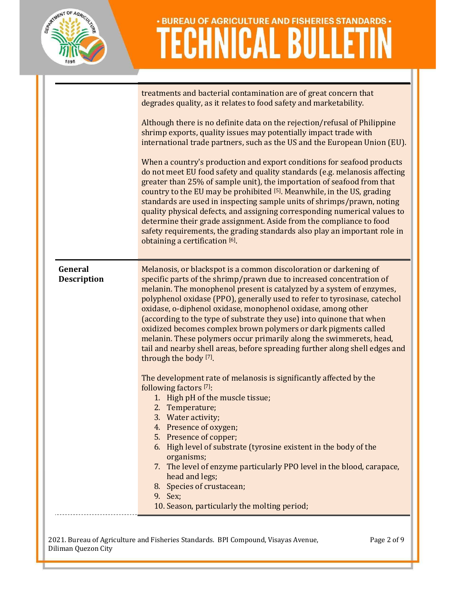

|                               | treatments and bacterial contamination are of great concern that<br>degrades quality, as it relates to food safety and marketability.                                                                                                                                                                                                                                                                                                                                                                                                                                                                                                                                                    |
|-------------------------------|------------------------------------------------------------------------------------------------------------------------------------------------------------------------------------------------------------------------------------------------------------------------------------------------------------------------------------------------------------------------------------------------------------------------------------------------------------------------------------------------------------------------------------------------------------------------------------------------------------------------------------------------------------------------------------------|
|                               | Although there is no definite data on the rejection/refusal of Philippine<br>shrimp exports, quality issues may potentially impact trade with<br>international trade partners, such as the US and the European Union (EU).                                                                                                                                                                                                                                                                                                                                                                                                                                                               |
|                               | When a country's production and export conditions for seafood products<br>do not meet EU food safety and quality standards (e.g. melanosis affecting<br>greater than 25% of sample unit), the importation of seafood from that<br>country to the EU may be prohibited [5]. Meanwhile, in the US, grading<br>standards are used in inspecting sample units of shrimps/prawn, noting<br>quality physical defects, and assigning corresponding numerical values to<br>determine their grade assignment. Aside from the compliance to food<br>safety requirements, the grading standards also play an important role in<br>obtaining a certification [6].                                    |
| General<br><b>Description</b> | Melanosis, or blackspot is a common discoloration or darkening of<br>specific parts of the shrimp/prawn due to increased concentration of<br>melanin. The monophenol present is catalyzed by a system of enzymes,<br>polyphenol oxidase (PPO), generally used to refer to tyrosinase, catechol<br>oxidase, o-diphenol oxidase, monophenol oxidase, among other<br>(according to the type of substrate they use) into quinone that when<br>oxidized becomes complex brown polymers or dark pigments called<br>melanin. These polymers occur primarily along the swimmerets, head,<br>tail and nearby shell areas, before spreading further along shell edges and<br>through the body [7]. |
|                               | The development rate of melanosis is significantly affected by the<br>following factors [7]:<br>1. High pH of the muscle tissue;<br>2. Temperature;<br>3. Water activity;<br>4. Presence of oxygen;<br>5. Presence of copper;<br>6. High level of substrate (tyrosine existent in the body of the<br>organisms;<br>7. The level of enzyme particularly PPO level in the blood, carapace,<br>head and legs;<br>8. Species of crustacean;<br>9. Sex;<br>10. Season, particularly the molting period;                                                                                                                                                                                       |
|                               |                                                                                                                                                                                                                                                                                                                                                                                                                                                                                                                                                                                                                                                                                          |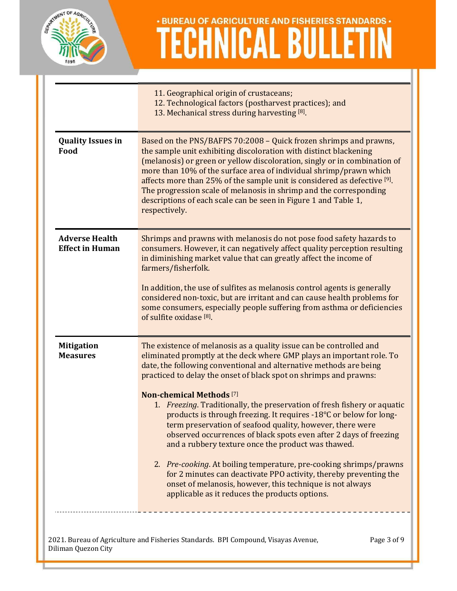

|                                                 | 11. Geographical origin of crustaceans;<br>12. Technological factors (postharvest practices); and<br>13. Mechanical stress during harvesting [8].                                                                                                                                                                                                                                                                                                                                                                                                                                                                                                                                                                                                                                                                                                                                                                                         |
|-------------------------------------------------|-------------------------------------------------------------------------------------------------------------------------------------------------------------------------------------------------------------------------------------------------------------------------------------------------------------------------------------------------------------------------------------------------------------------------------------------------------------------------------------------------------------------------------------------------------------------------------------------------------------------------------------------------------------------------------------------------------------------------------------------------------------------------------------------------------------------------------------------------------------------------------------------------------------------------------------------|
| <b>Quality Issues in</b><br>Food                | Based on the PNS/BAFPS 70:2008 - Quick frozen shrimps and prawns,<br>the sample unit exhibiting discoloration with distinct blackening<br>(melanosis) or green or yellow discoloration, singly or in combination of<br>more than 10% of the surface area of individual shrimp/prawn which<br>affects more than 25% of the sample unit is considered as defective [9].<br>The progression scale of melanosis in shrimp and the corresponding<br>descriptions of each scale can be seen in Figure 1 and Table 1,<br>respectively.                                                                                                                                                                                                                                                                                                                                                                                                           |
| <b>Adverse Health</b><br><b>Effect in Human</b> | Shrimps and prawns with melanosis do not pose food safety hazards to<br>consumers. However, it can negatively affect quality perception resulting<br>in diminishing market value that can greatly affect the income of<br>farmers/fisherfolk.<br>In addition, the use of sulfites as melanosis control agents is generally<br>considered non-toxic, but are irritant and can cause health problems for<br>some consumers, especially people suffering from asthma or deficiencies<br>of sulfite oxidase <sup>[8]</sup> .                                                                                                                                                                                                                                                                                                                                                                                                                  |
| <b>Mitigation</b><br><b>Measures</b>            | The existence of melanosis as a quality issue can be controlled and<br>eliminated promptly at the deck where GMP plays an important role. To<br>date, the following conventional and alternative methods are being<br>practiced to delay the onset of black spot on shrimps and prawns:<br><b>Non-chemical Methods</b> <sup>[7]</sup><br>1. Freezing. Traditionally, the preservation of fresh fishery or aquatic<br>products is through freezing. It requires -18°C or below for long-<br>term preservation of seafood quality, however, there were<br>observed occurrences of black spots even after 2 days of freezing<br>and a rubbery texture once the product was thawed.<br>2. Pre-cooking. At boiling temperature, pre-cooking shrimps/prawns<br>for 2 minutes can deactivate PPO activity, thereby preventing the<br>onset of melanosis, however, this technique is not always<br>applicable as it reduces the products options. |
| Diliman Quezon City                             | 2021. Bureau of Agriculture and Fisheries Standards. BPI Compound, Visayas Avenue,<br>Page 3 of 9                                                                                                                                                                                                                                                                                                                                                                                                                                                                                                                                                                                                                                                                                                                                                                                                                                         |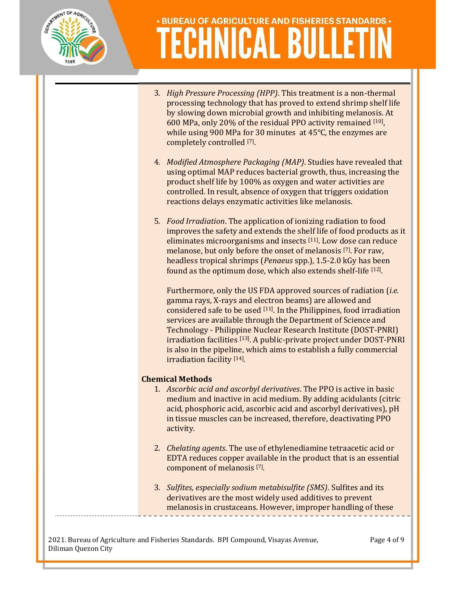

- 3. High Pressure Processing (HPP). This treatment is a non-thermal processing technology that has proved to extend shrimp shelf life by slowing down microbial growth and inhibiting melanosis. At 600 MPa, only 20% of the residual PPO activity remained [10] , while using 900 MPa for 30 minutes at 45℃, the enzymes are completely controlled [7].
- 4. Modified Atmosphere Packaging (MAP). Studies have revealed that using optimal MAP reduces bacterial growth, thus, increasing the product shelf life by 100% as oxygen and water activities are controlled. In result, absence of oxygen that triggers oxidation reactions delays enzymatic activities like melanosis.
- 5. Food Irradiation. The application of ionizing radiation to food improves the safety and extends the shelf life of food products as it eliminates microorganisms and insects [11]. Low dose can reduce melanose, but only before the onset of melanosis [7]. For raw, headless tropical shrimps (Penaeus spp.), 1.5-2.0 kGy has been found as the optimum dose, which also extends shelf-life [12].

Furthermore, only the US FDA approved sources of radiation *(i.e.*) gamma rays, X-rays and electron beams) are allowed and considered safe to be used [11]. In the Philippines, food irradiation services are available through the Department of Science and Technology - Philippine Nuclear Research Institute (DOST-PNRI) irradiation facilities [13]. A public-private project under DOST-PNRI is also in the pipeline, which aims to establish a fully commercial irradiation facility [14].

#### Chemical Methods

- 1. Ascorbic acid and ascorbyl derivatives. The PPO is active in basic medium and inactive in acid medium. By adding acidulants (citric acid, phosphoric acid, ascorbic acid and ascorbyl derivatives), pH in tissue muscles can be increased, therefore, deactivating PPO activity.
- 2. Chelating agents. The use of ethylenediamine tetraacetic acid or EDTA reduces copper available in the product that is an essential component of melanosis [7] .
- 3. Sulfites, especially sodium metabisulfite (SMS). Sulfites and its derivatives are the most widely used additives to prevent melanosis in crustaceans. However, improper handling of these

2021. Bureau of Agriculture and Fisheries Standards. BPI Compound, Visayas Avenue, Diliman Quezon City

Page 4 of 9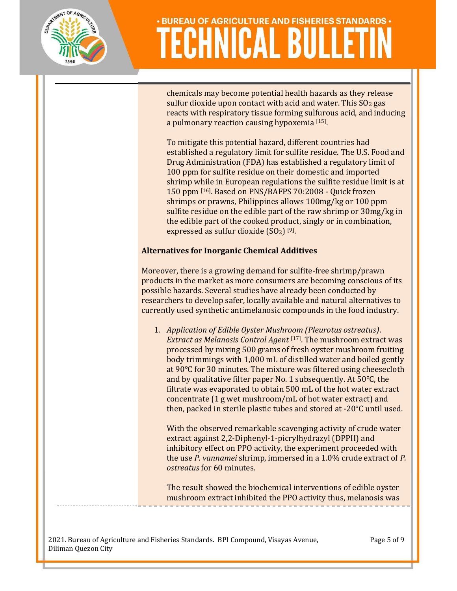

chemicals may become potential health hazards as they release sulfur dioxide upon contact with acid and water. This  $SO<sub>2</sub>$  gas reacts with respiratory tissue forming sulfurous acid, and inducing a pulmonary reaction causing hypoxemia [15] .

To mitigate this potential hazard, different countries had established a regulatory limit for sulfite residue. The U.S. Food and Drug Administration (FDA) has established a regulatory limit of 100 ppm for sulfite residue on their domestic and imported shrimp while in European regulations the sulfite residue limit is at 150 ppm [16]. Based on PNS/BAFPS 70:2008 - Quick frozen shrimps or prawns, Philippines allows 100mg/kg or 100 ppm sulfite residue on the edible part of the raw shrimp or 30mg/kg in the edible part of the cooked product, singly or in combination, expressed as sulfur dioxide  $(SO<sub>2</sub>)$  [9].

#### Alternatives for Inorganic Chemical Additives

Moreover, there is a growing demand for sulfite-free shrimp/prawn products in the market as more consumers are becoming conscious of its possible hazards. Several studies have already been conducted by researchers to develop safer, locally available and natural alternatives to currently used synthetic antimelanosic compounds in the food industry.

1. Application of Edible Oyster Mushroom (Pleurotus ostreatus). Extract as Melanosis Control Agent [17]. The mushroom extract was processed by mixing 500 grams of fresh oyster mushroom fruiting body trimmings with 1,000 mL of distilled water and boiled gently at 90°C for 30 minutes. The mixture was filtered using cheesecloth and by qualitative filter paper No. 1 subsequently. At 50°C, the filtrate was evaporated to obtain 500 mL of the hot water extract concentrate (1 g wet mushroom/mL of hot water extract) and then, packed in sterile plastic tubes and stored at -20°C until used.

With the observed remarkable scavenging activity of crude water extract against 2,2-Diphenyl-1-picrylhydrazyl (DPPH) and inhibitory effect on PPO activity, the experiment proceeded with the use P. vannamei shrimp, immersed in a 1.0% crude extract of P. ostreatus for 60 minutes.

The result showed the biochemical interventions of edible oyster mushroom extract inhibited the PPO activity thus, melanosis was

2021. Bureau of Agriculture and Fisheries Standards. BPI Compound, Visayas Avenue, Diliman Quezon City

Page 5 of 9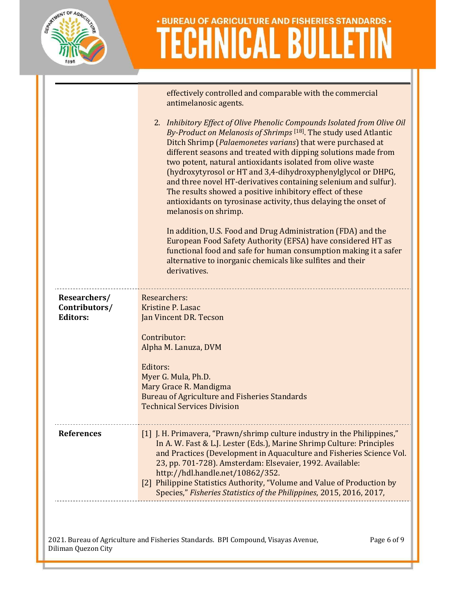

|                                                  | effectively controlled and comparable with the commercial<br>antimelanosic agents.<br>2. Inhibitory Effect of Olive Phenolic Compounds Isolated from Olive Oil<br>By-Product on Melanosis of Shrimps [18]. The study used Atlantic<br>Ditch Shrimp (Palaemonetes varians) that were purchased at<br>different seasons and treated with dipping solutions made from<br>two potent, natural antioxidants isolated from olive waste<br>(hydroxytyrosol or HT and 3,4-dihydroxyphenylglycol or DHPG,<br>and three novel HT-derivatives containing selenium and sulfur).<br>The results showed a positive inhibitory effect of these<br>antioxidants on tyrosinase activity, thus delaying the onset of<br>melanosis on shrimp.<br>In addition, U.S. Food and Drug Administration (FDA) and the<br>European Food Safety Authority (EFSA) have considered HT as<br>functional food and safe for human consumption making it a safer |
|--------------------------------------------------|-------------------------------------------------------------------------------------------------------------------------------------------------------------------------------------------------------------------------------------------------------------------------------------------------------------------------------------------------------------------------------------------------------------------------------------------------------------------------------------------------------------------------------------------------------------------------------------------------------------------------------------------------------------------------------------------------------------------------------------------------------------------------------------------------------------------------------------------------------------------------------------------------------------------------------|
|                                                  | alternative to inorganic chemicals like sulfites and their<br>derivatives.                                                                                                                                                                                                                                                                                                                                                                                                                                                                                                                                                                                                                                                                                                                                                                                                                                                    |
| Researchers/<br>Contributors/<br><b>Editors:</b> | Researchers:<br>Kristine P. Lasac<br>Jan Vincent DR. Tecson<br>Contributor:                                                                                                                                                                                                                                                                                                                                                                                                                                                                                                                                                                                                                                                                                                                                                                                                                                                   |
|                                                  | Alpha M. Lanuza, DVM<br>Editors:<br>Myer G. Mula, Ph.D.<br>Mary Grace R. Mandigma<br><b>Bureau of Agriculture and Fisheries Standards</b><br><b>Technical Services Division</b>                                                                                                                                                                                                                                                                                                                                                                                                                                                                                                                                                                                                                                                                                                                                               |
| <b>References</b>                                | [1] J. H. Primavera, "Prawn/shrimp culture industry in the Philippines,"<br>In A. W. Fast & L.J. Lester (Eds.), Marine Shrimp Culture: Principles<br>and Practices (Development in Aquaculture and Fisheries Science Vol.<br>23, pp. 701-728). Amsterdam: Elsevaier, 1992. Available:<br>http://hdl.handle.net/10862/352.<br>[2] Philippine Statistics Authority, "Volume and Value of Production by<br>Species," Fisheries Statistics of the Philippines, 2015, 2016, 2017,                                                                                                                                                                                                                                                                                                                                                                                                                                                  |
|                                                  |                                                                                                                                                                                                                                                                                                                                                                                                                                                                                                                                                                                                                                                                                                                                                                                                                                                                                                                               |

2021. Bureau of Agriculture and Fisheries Standards. BPI Compound, Visayas Avenue, Diliman Quezon City

Page 6 of 9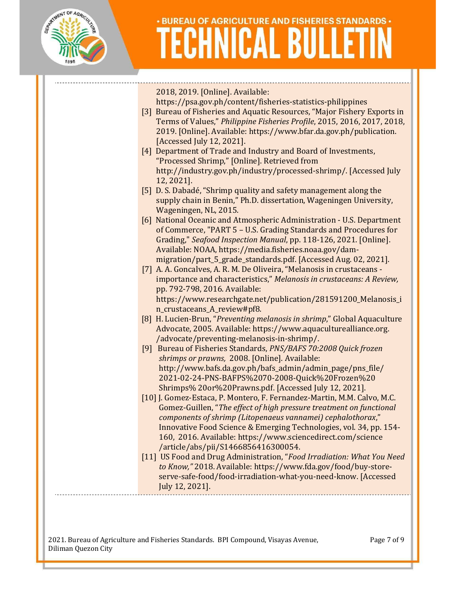

2018, 2019. [Online]. Available: https://psa.gov.ph/content/fisheries-statistics-philippines [3] Bureau of Fisheries and Aquatic Resources, "Major Fishery Exports in Terms of Values," Philippine Fisheries Profile, 2015, 2016, 2017, 2018, 2019. [Online]. Available: https://www.bfar.da.gov.ph/publication. [Accessed July 12, 2021]. [4] Department of Trade and Industry and Board of Investments, "Processed Shrimp," [Online]. Retrieved from http://industry.gov.ph/industry/processed-shrimp/. [Accessed July 12, 2021]. [5] D. S. Dabadé, "Shrimp quality and safety management along the supply chain in Benin," Ph.D. dissertation, Wageningen University, Wageningen, NL, 2015. [6] National Oceanic and Atmospheric Administration - U.S. Department of Commerce, "PART 5 – U.S. Grading Standards and Procedures for Grading," Seafood Inspection Manual, pp. 118-126, 2021. [Online]. Available: NOAA, https://media.fisheries.noaa.gov/dammigration/part 5 grade\_standards.pdf. [Accessed Aug. 02, 2021]. [7] A. A. Goncalves, A. R. M. De Oliveira, "Melanosis in crustaceans importance and characteristics," Melanosis in crustaceans: A Review, pp. 792-798, 2016. Available: https://www.researchgate.net/publication/281591200\_Melanosis\_i n\_crustaceans\_A\_review#pf8. [8] H. Lucien-Brun, "Preventing melanosis in shrimp," Global Aquaculture Advocate, 2005. Available: https://www.aquaculturealliance.org. /advocate/preventing-melanosis-in-shrimp/. [9] Bureau of Fisheries Standards, PNS/BAFS 70:2008 Quick frozen shrimps or prawns, 2008. [Online]. Available: http://www.bafs.da.gov.ph/bafs\_admin/admin\_page/pns\_file/ 2021-02-24-PNS-BAFPS%2070-2008-Quick%20Frozen%20 Shrimps% 20or%20Prawns.pdf. [Accessed July 12, 2021]. [10] J. Gomez-Estaca, P. Montero, F. Fernandez-Martin, M.M. Calvo, M.C. Gomez-Guillen, "The effect of high pressure treatment on functional components of shrimp (Litopenaeus vannamei) cephalothorax," Innovative Food Science & Emerging Technologies, vol. 34, pp. 154- 160, 2016. Available: https://www.sciencedirect.com/science /article/abs/pii/S1466856416300054. [11] US Food and Drug Administration, "Food Irradiation: What You Need to Know," 2018. Available: https://www.fda.gov/food/buy-storeserve-safe-food/food-irradiation-what-you-need-know. [Accessed

2021. Bureau of Agriculture and Fisheries Standards. BPI Compound, Visayas Avenue, Diliman Quezon City

July 12, 2021].

Page 7 of 9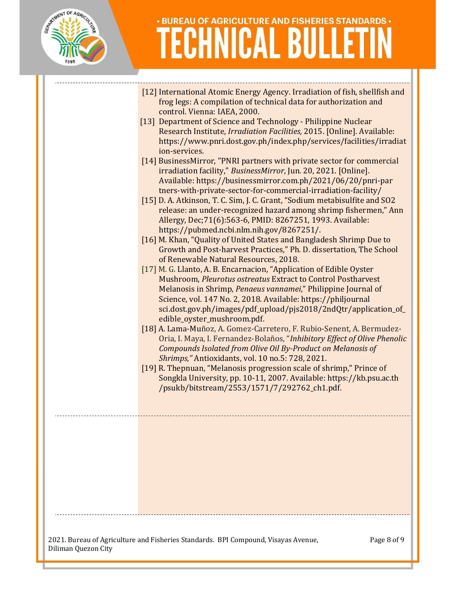

- [12] International Atomic Energy Agency. Irradiation of fish, shellfish and frog legs: A compilation of technical data for authorization and control. Vienna: IAEA, 2000.
- [13] Department of Science and Technology Philippine Nuclear Research Institute, Irradiation Facilities, 2015. [Online]. Available: https://www.pnri.dost.gov.ph/index.php/services/facilities/irradiat ion-services.
- [14] BusinessMirror, "PNRI partners with private sector for commercial irradiation facility," BusinessMirror, Jun. 20, 2021. [Online]. Available: https://businessmirror.com.ph/2021/06/20/pnri-par tners-with-private-sector-for-commercial-irradiation-facility/
- [15] D. A. Atkinson, T. C. Sim, J. C. Grant, "Sodium metabisulfite and SO2 release: an under-recognized hazard among shrimp fishermen," Ann Allergy, Dec;71(6):563-6, PMID: 8267251, 1993. Available: https://pubmed.ncbi.nlm.nih.gov/8267251/.
- [16] M. Khan, "Quality of United States and Bangladesh Shrimp Due to Growth and Post-harvest Practices," Ph. D. dissertation, The School of Renewable Natural Resources, 2018.
- [17] M. G. Llanto, A. B. Encarnacion, "Application of Edible Oyster Mushroom, Pleurotus ostreatus Extract to Control Postharvest Melanosis in Shrimp, Penaeus vannamei," Philippine Journal of Science, vol. 147 No. 2, 2018. Available: https://philjournal sci.dost.gov.ph/images/pdf\_upload/pjs2018/2ndQtr/application\_of\_ edible\_oyster\_mushroom.pdf.
- [18] A. Lama-Muñoz, A. Gomez-Carretero, F. Rubio-Senent, A. Bermudez-Oria, I. Maya, I. Fernandez-Bolaños, "Inhibitory Effect of Olive Phenolic Compounds Isolated from Olive Oil By-Product on Melanosis of Shrimps," Antioxidants, vol. 10 no.5: 728, 2021.
- [19] R. Thepnuan, "Melanosis progression scale of shrimp," Prince of Songkla University, pp. 10-11, 2007. Available: https://kb.psu.ac.th /psukb/bitstream/2553/1571/7/292762\_ch1.pdf.

2021. Bureau of Agriculture and Fisheries Standards. BPI Compound, Visayas Avenue, Diliman Quezon City

Page 8 of 9